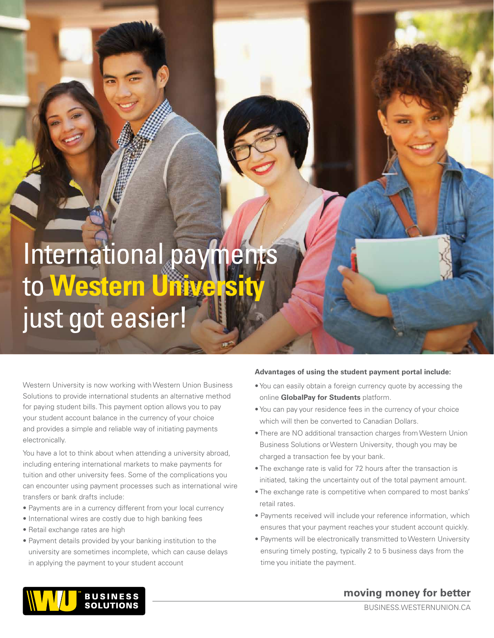## International payments to Western Universit just got easier!

Western University is now working with Western Union Business Solutions to provide international students an alternative method for paying student bills. This payment option allows you to pay your student account balance in the currency of your choice and provides a simple and reliable way of initiating payments electronically.

You have a lot to think about when attending a university abroad, including entering international markets to make payments for tuition and other university fees. Some of the complications you can encounter using payment processes such as international wire transfers or bank drafts include:

- Payments are in a currency different from your local currency
- International wires are costly due to high banking fees
- Retail exchange rates are high
- Payment details provided by your banking institution to the university are sometimes incomplete, which can cause delays in applying the payment to your student account

#### **Advantages of using the student payment portal include:**

- You can easily obtain a foreign currency quote by accessing the online **[GlobalPay for Students](https://student.globalpay.wu.com/geo-buyer/uofwesternontario)** platform.
- You can pay your residence fees in the currency of your choice which will then be converted to Canadian Dollars.
- There are NO additional transaction charges from Western Union Business Solutions or Western University, though you may be charged a transaction fee by your bank.
- The exchange rate is valid for 72 hours after the transaction is initiated, taking the uncertainty out of the total payment amount.
- The exchange rate is competitive when compared to most banks' retail rates.
- Payments received will include your reference information, which ensures that your payment reaches your student account quickly.
- Payments will be electronically transmitted to Western University ensuring timely posting, typically 2 to 5 business days from the time you initiate the payment.



## moving money for better